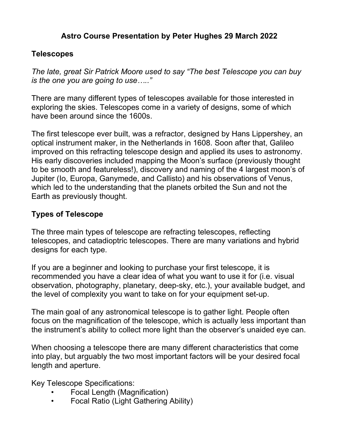### Astro Course Presentation by Peter Hughes 29 March 2022

#### Telescopes

The late, great Sir Patrick Moore used to say "The best Telescope you can buy is the one you are going to use….."

There are many different types of telescopes available for those interested in exploring the skies. Telescopes come in a variety of designs, some of which have been around since the 1600s.

The first telescope ever built, was a refractor, designed by Hans Lippershey, an optical instrument maker, in the Netherlands in 1608. Soon after that, Galileo improved on this refracting telescope design and applied its uses to astronomy. His early discoveries included mapping the Moon's surface (previously thought to be smooth and featureless!), discovery and naming of the 4 largest moon's of Jupiter (Io, Europa, Ganymede, and Callisto) and his observations of Venus, which led to the understanding that the planets orbited the Sun and not the Earth as previously thought.

#### Types of Telescope

The three main types of telescope are refracting telescopes, reflecting telescopes, and catadioptric telescopes. There are many variations and hybrid designs for each type.

If you are a beginner and looking to purchase your first telescope, it is recommended you have a clear idea of what you want to use it for (i.e. visual observation, photography, planetary, deep-sky, etc.), your available budget, and the level of complexity you want to take on for your equipment set-up.

The main goal of any astronomical telescope is to gather light. People often focus on the magnification of the telescope, which is actually less important than the instrument's ability to collect more light than the observer's unaided eye can.

When choosing a telescope there are many different characteristics that come into play, but arguably the two most important factors will be your desired focal length and aperture.

Key Telescope Specifications:

- Focal Length (Magnification)
- Focal Ratio (Light Gathering Ability)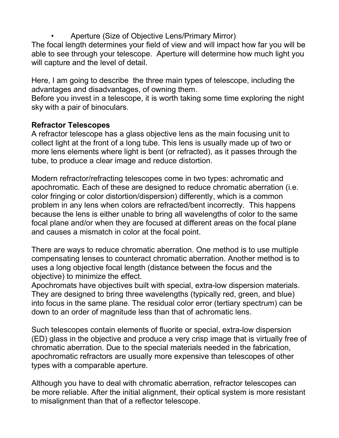• Aperture (Size of Objective Lens/Primary Mirror)

The focal length determines your field of view and will impact how far you will be able to see through your telescope. Aperture will determine how much light you will capture and the level of detail.

Here, I am going to describe the three main types of telescope, including the advantages and disadvantages, of owning them.

Before you invest in a telescope, it is worth taking some time exploring the night sky with a pair of binoculars.

#### Refractor Telescopes

A refractor telescope has a glass objective lens as the main focusing unit to collect light at the front of a long tube. This lens is usually made up of two or more lens elements where light is bent (or refracted), as it passes through the tube, to produce a clear image and reduce distortion.

Modern refractor/refracting telescopes come in two types: achromatic and apochromatic. Each of these are designed to reduce chromatic aberration (i.e. color fringing or color distortion/dispersion) differently, which is a common problem in any lens when colors are refracted/bent incorrectly. This happens because the lens is either unable to bring all wavelengths of color to the same focal plane and/or when they are focused at different areas on the focal plane and causes a mismatch in color at the focal point.

There are ways to reduce chromatic aberration. One method is to use multiple compensating lenses to counteract chromatic aberration. Another method is to uses a long objective focal length (distance between the focus and the objective) to minimize the effect.

Apochromats have objectives built with special, extra-low dispersion materials. They are designed to bring three wavelengths (typically red, green, and blue) into focus in the same plane. The residual color error (tertiary spectrum) can be down to an order of magnitude less than that of achromatic lens.

Such telescopes contain elements of fluorite or special, extra-low dispersion (ED) glass in the objective and produce a very crisp image that is virtually free of chromatic aberration. Due to the special materials needed in the fabrication, apochromatic refractors are usually more expensive than telescopes of other types with a comparable aperture.

Although you have to deal with chromatic aberration, refractor telescopes can be more reliable. After the initial alignment, their optical system is more resistant to misalignment than that of a reflector telescope.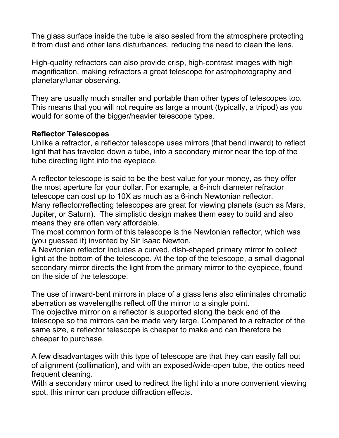The glass surface inside the tube is also sealed from the atmosphere protecting it from dust and other lens disturbances, reducing the need to clean the lens.

High-quality refractors can also provide crisp, high-contrast images with high magnification, making refractors a great telescope for astrophotography and planetary/lunar observing.

They are usually much smaller and portable than other types of telescopes too. This means that you will not require as large a mount (typically, a tripod) as you would for some of the bigger/heavier telescope types.

#### Reflector Telescopes

Unlike a refractor, a reflector telescope uses mirrors (that bend inward) to reflect light that has traveled down a tube, into a secondary mirror near the top of the tube directing light into the eyepiece.

A reflector telescope is said to be the best value for your money, as they offer the most aperture for your dollar. For example, a 6-inch diameter refractor telescope can cost up to 10X as much as a 6-inch Newtonian reflector. Many reflector/reflecting telescopes are great for viewing planets (such as Mars, Jupiter, or Saturn). The simplistic design makes them easy to build and also means they are often very affordable.

The most common form of this telescope is the Newtonian reflector, which was (you guessed it) invented by Sir Isaac Newton.

A Newtonian reflector includes a curved, dish-shaped primary mirror to collect light at the bottom of the telescope. At the top of the telescope, a small diagonal secondary mirror directs the light from the primary mirror to the eyepiece, found on the side of the telescope.

The use of inward-bent mirrors in place of a glass lens also eliminates chromatic aberration as wavelengths reflect off the mirror to a single point.

The objective mirror on a reflector is supported along the back end of the telescope so the mirrors can be made very large. Compared to a refractor of the same size, a reflector telescope is cheaper to make and can therefore be cheaper to purchase.

A few disadvantages with this type of telescope are that they can easily fall out of alignment (collimation), and with an exposed/wide-open tube, the optics need frequent cleaning.

With a secondary mirror used to redirect the light into a more convenient viewing spot, this mirror can produce diffraction effects.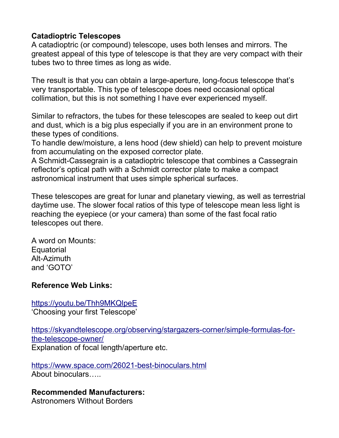#### Catadioptric Telescopes

A catadioptric (or compound) telescope, uses both lenses and mirrors. The greatest appeal of this type of telescope is that they are very compact with their tubes two to three times as long as wide.

The result is that you can obtain a large-aperture, long-focus telescope that's very transportable. This type of telescope does need occasional optical collimation, but this is not something I have ever experienced myself.

Similar to refractors, the tubes for these telescopes are sealed to keep out dirt and dust, which is a big plus especially if you are in an environment prone to these types of conditions.

To handle dew/moisture, a lens hood (dew shield) can help to prevent moisture from accumulating on the exposed corrector plate.

A Schmidt-Cassegrain is a catadioptric telescope that combines a Cassegrain reflector's optical path with a Schmidt corrector plate to make a compact astronomical instrument that uses simple spherical surfaces.

These telescopes are great for lunar and planetary viewing, as well as terrestrial daytime use. The slower focal ratios of this type of telescope mean less light is reaching the eyepiece (or your camera) than some of the fast focal ratio telescopes out there.

A word on Mounts: **Equatorial** Alt-Azimuth and 'GOTO'

#### Reference Web Links:

https://youtu.be/Thh9MKQlpeE 'Choosing your first Telescope'

https://skyandtelescope.org/observing/stargazers-corner/simple-formulas-forthe-telescope-owner/ Explanation of focal length/aperture etc.

https://www.space.com/26021-best-binoculars.html About binoculars…..

## Recommended Manufacturers:

Astronomers Without Borders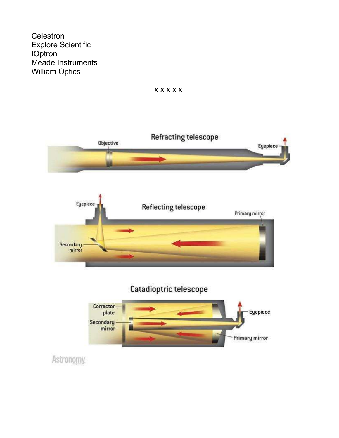Celestron **Explore Scientific IOptron** Meade Instruments **William Optics** 







Astronomy.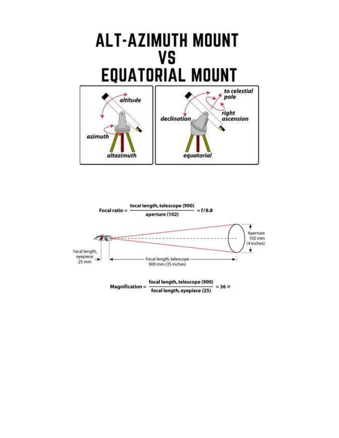

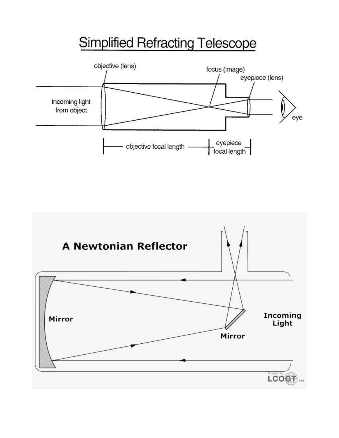# **Simplified Refracting Telescope**



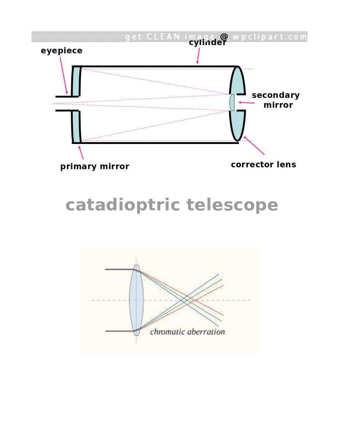

# catadioptric telescope

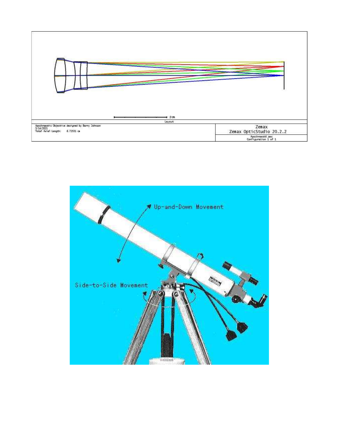